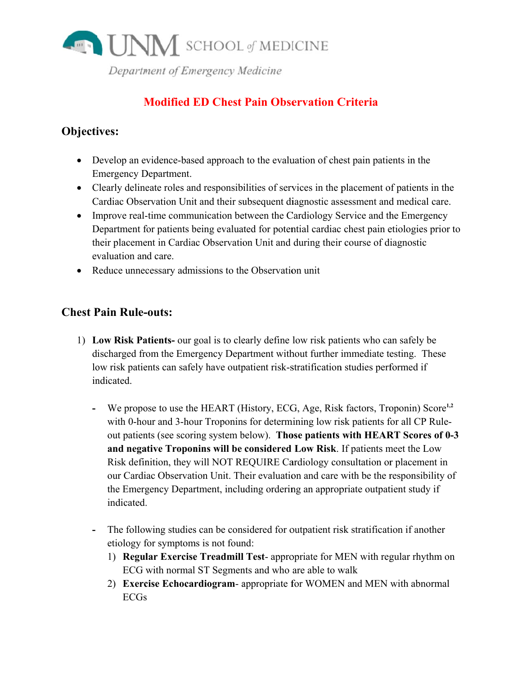

# **Modified ED Chest Pain Observation Criteria**

# **Objectives:**

- Develop an evidence-based approach to the evaluation of chest pain patients in the **Emergency Department.**
- Clearly delineate roles and responsibilities of services in the placement of patients in the Cardiac Observation Unit and their subsequent diagnostic assessment and medical care.
- Improve real-time communication between the Cardiology Service and the Emergency Department for patients being evaluated for potential cardiac chest pain etiologies prior to their placement in Cardiac Observation Unit and during their course of diagnostic evaluation and care.
- Reduce unnecessary admissions to the Observation unit

## **Chest Pain Rule-outs:**

- 1) Low Risk Patients- our goal is to clearly define low risk patients who can safely be discharged from the Emergency Department without further immediate testing. These low risk patients can safely have outpatient risk-stratification studies performed if indicated.
	- We propose to use the HEART (History, ECG, Age, Risk factors, Troponin) Score<sup>1,2</sup> with 0-hour and 3-hour Troponins for determining low risk patients for all CP Ruleout patients (see scoring system below). Those patients with HEART Scores of 0-3 and negative Troponins will be considered Low Risk. If patients meet the Low Risk definition, they will NOT REQUIRE Cardiology consultation or placement in our Cardiac Observation Unit. Their evaluation and care with be the responsibility of the Emergency Department, including ordering an appropriate outpatient study if indicated.
	- The following studies can be considered for outpatient risk stratification if another  $\omega_{\rm{max}}$ etiology for symptoms is not found:
		- 1) Regular Exercise Treadmill Test-appropriate for MEN with regular rhythm on ECG with normal ST Segments and who are able to walk
		- 2) Exercise Echocardiogram- appropriate for WOMEN and MEN with abnormal **ECGs**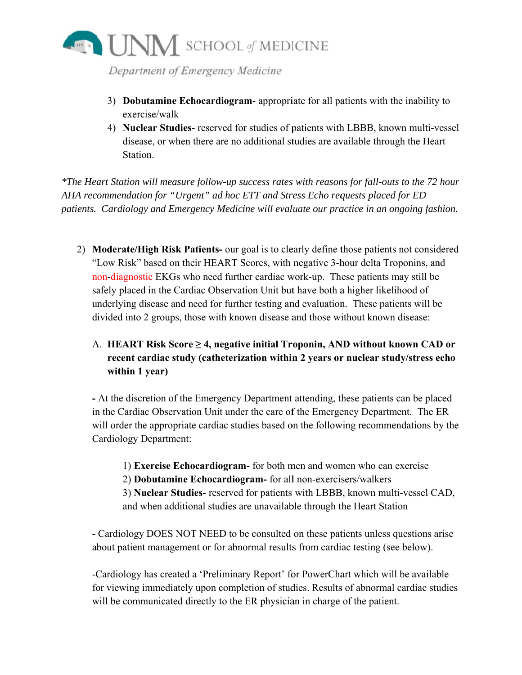

- 3) Dobutamine Echocardiogram-appropriate for all patients with the inability to exercise/walk
- 4) Nuclear Studies- reserved for studies of patients with LBBB, known multi-vessel disease, or when there are no additional studies are available through the Heart Station.

\*The Heart Station will measure follow-up success rates with reasons for fall-outs to the 72 hour AHA recommendation for "Urgent" ad hoc ETT and Stress Echo requests placed for ED patients. Cardiology and Emergency Medicine will evaluate our practice in an ongoing fashion.

2) Moderate/High Risk Patients- our goal is to clearly define those patients not considered "Low Risk" based on their HEART Scores, with negative 3-hour delta Troponins, and non-diagnostic EKGs who need further cardiac work-up. These patients may still be safely placed in the Cardiac Observation Unit but have both a higher likelihood of underlying disease and need for further testing and evaluation. These patients will be divided into 2 groups, those with known disease and those without known disease:

## A. HEART Risk Score  $\geq$  4, negative initial Troponin, AND without known CAD or recent cardiac study (catheterization within 2 years or nuclear study/stress echo within 1 year)

- At the discretion of the Emergency Department attending, these patients can be placed in the Cardiac Observation Unit under the care of the Emergency Department. The ER will order the appropriate cardiac studies based on the following recommendations by the Cardiology Department:

1) Exercise Echocardiogram- for both men and women who can exercise

2) Dobutamine Echocardiogram- for all non-exercisers/walkers

3) Nuclear Studies- reserved for patients with LBBB, known multi-vessel CAD, and when additional studies are unavailable through the Heart Station

- Cardiology DOES NOT NEED to be consulted on these patients unless questions arise about patient management or for abnormal results from cardiac testing (see below).

-Cardiology has created a 'Preliminary Report' for PowerChart which will be available for viewing immediately upon completion of studies. Results of abnormal cardiac studies will be communicated directly to the ER physician in charge of the patient.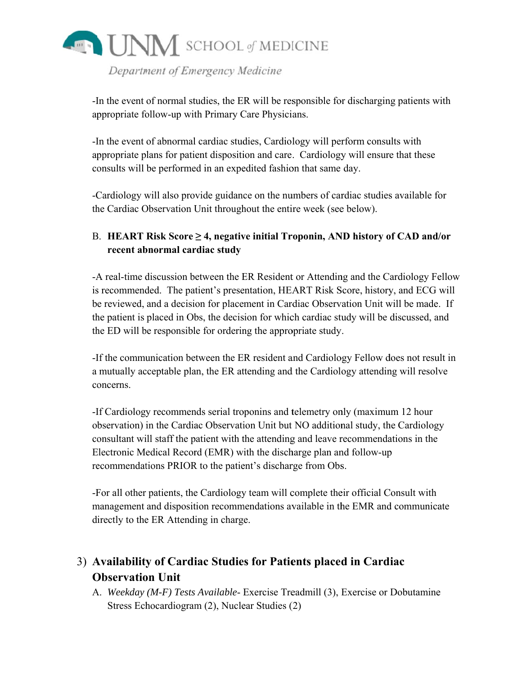

-In the event of normal studies, the ER will be responsible for discharging patients with appropriate follow-up with Primary Care Physicians.

-In the event of abnormal cardiac studies, Cardiology will perform consults with appropriate plans for patient disposition and care. Cardiology will ensure that these consults will be performed in an expedited fashion that same day.

-Cardiology will also provide guidance on the numbers of cardiac studies available for the Cardiac Observation Unit throughout the entire week (see below).

## B. HEART Risk Score  $\geq$  4, negative initial Troponin, AND history of CAD and/or recent abnormal cardiac study

-A real-time discussion between the ER Resident or Attending and the Cardiology Fellow is recommended. The patient's presentation, HEART Risk Score, history, and ECG will be reviewed, and a decision for placement in Cardiac Observation Unit will be made. If the patient is placed in Obs, the decision for which cardiac study will be discussed, and the ED will be responsible for ordering the appropriate study.

-If the communication between the ER resident and Cardiology Fellow does not result in a mutually acceptable plan, the ER attending and the Cardiology attending will resolve concerns.

-If Cardiology recommends serial troponins and telemetry only (maximum 12 hour observation) in the Cardiac Observation Unit but NO additional study, the Cardiology consultant will staff the patient with the attending and leave recommendations in the Electronic Medical Record (EMR) with the discharge plan and follow-up recommendations PRIOR to the patient's discharge from Obs.

-For all other patients, the Cardiology team will complete their official Consult with management and disposition recommendations available in the EMR and communicate directly to the ER Attending in charge.

# 3) Availability of Cardiac Studies for Patients placed in Cardiac **Observation Unit**

A. Weekday (M-F) Tests Available- Exercise Treadmill (3), Exercise or Dobutamine Stress Echocardiogram (2), Nuclear Studies (2)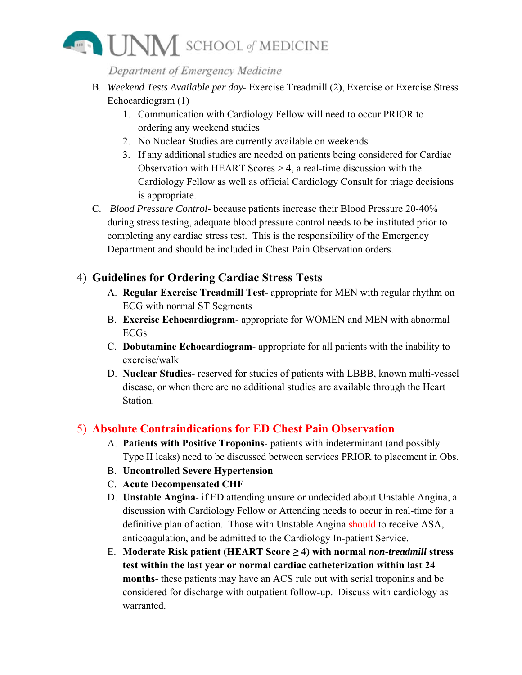

- B. Weekend Tests Available per day-Exercise Treadmill (2), Exercise or Exercise Stress Echocardiogram (1)
	- 1. Communication with Cardiology Fellow will need to occur PRIOR to ordering any weekend studies
	- 2. No Nuclear Studies are currently available on weekends
	- 3. If any additional studies are needed on patients being considered for Cardiac Observation with HEART Scores  $> 4$ , a real-time discussion with the Cardiology Fellow as well as official Cardiology Consult for triage decisions is appropriate.
- C. Blood Pressure Control- because patients increase their Blood Pressure 20-40% during stress testing, adequate blood pressure control needs to be instituted prior to completing any cardiac stress test. This is the responsibility of the Emergency Department and should be included in Chest Pain Observation orders.

## 4) Guidelines for Ordering Cardiac Stress Tests

- A. Regular Exercise Treadmill Test-appropriate for MEN with regular rhythm on **ECG** with normal ST Segments
- B. Exercise Echocardiogram- appropriate for WOMEN and MEN with abnormal **ECGs**
- C. Dobutamine Echocardiogram- appropriate for all patients with the inability to exercise/walk
- D. Nuclear Studies-reserved for studies of patients with LBBB, known multi-vessel disease, or when there are no additional studies are available through the Heart Station

## 5) Absolute Contraindications for ED Chest Pain Observation

- A. Patients with Positive Troponins- patients with indeterminant (and possibly Type II leaks) need to be discussed between services PRIOR to placement in Obs.
- **B.** Uncontrolled Severe Hypertension
- C. Acute Decompensated CHF
- D. Unstable Angina- if ED attending unsure or undecided about Unstable Angina, a discussion with Cardiology Fellow or Attending needs to occur in real-time for a definitive plan of action. Those with Unstable Angina should to receive ASA, anticoagulation, and be admitted to the Cardiology In-patient Service.
- E. Moderate Risk patient (HEART Score  $\geq$  4) with normal non-treadmill stress test within the last year or normal cardiac catheterization within last 24 months- these patients may have an ACS rule out with serial troponins and be considered for discharge with outpatient follow-up. Discuss with cardiology as warranted.